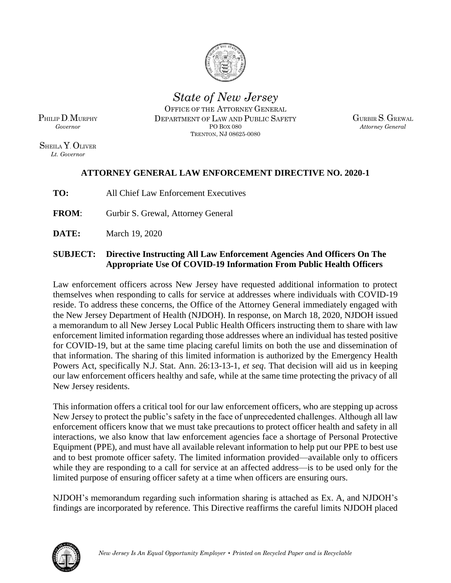

*State of New Jersey* OFFICE OF THE ATTORNEY GENERAL DEPARTMENT OF LAW AND PUBLIC SAFETY PO BOX 080

TRENTON, NJ 08625-0080

GURBIR S. GREWAL *Attorney General*

PHILIP D.MURPHY *Governor*

SHEILA Y. OLIVER *Lt. Governor*

## **ATTORNEY GENERAL LAW ENFORCEMENT DIRECTIVE NO. 2020-1**

**TO:** All Chief Law Enforcement Executives

**FROM**: Gurbir S. Grewal, Attorney General

**DATE:** March 19, 2020

## **SUBJECT: Directive Instructing All Law Enforcement Agencies And Officers On The Appropriate Use Of COVID-19 Information From Public Health Officers**

Law enforcement officers across New Jersey have requested additional information to protect themselves when responding to calls for service at addresses where individuals with COVID-19 reside. To address these concerns, the Office of the Attorney General immediately engaged with the New Jersey Department of Health (NJDOH). In response, on March 18, 2020, NJDOH issued a memorandum to all New Jersey Local Public Health Officers instructing them to share with law enforcement limited information regarding those addresses where an individual has tested positive for COVID-19, but at the same time placing careful limits on both the use and dissemination of that information. The sharing of this limited information is authorized by the Emergency Health Powers Act, specifically N.J. Stat. Ann. 26:13-13-1, *et seq*. That decision will aid us in keeping our law enforcement officers healthy and safe, while at the same time protecting the privacy of all New Jersey residents.

This information offers a critical tool for our law enforcement officers, who are stepping up across New Jersey to protect the public's safety in the face of unprecedented challenges. Although all law enforcement officers know that we must take precautions to protect officer health and safety in all interactions, we also know that law enforcement agencies face a shortage of Personal Protective Equipment (PPE), and must have all available relevant information to help put our PPE to best use and to best promote officer safety. The limited information provided—available only to officers while they are responding to a call for service at an affected address—is to be used only for the limited purpose of ensuring officer safety at a time when officers are ensuring ours.

NJDOH's memorandum regarding such information sharing is attached as Ex. A, and NJDOH's findings are incorporated by reference. This Directive reaffirms the careful limits NJDOH placed